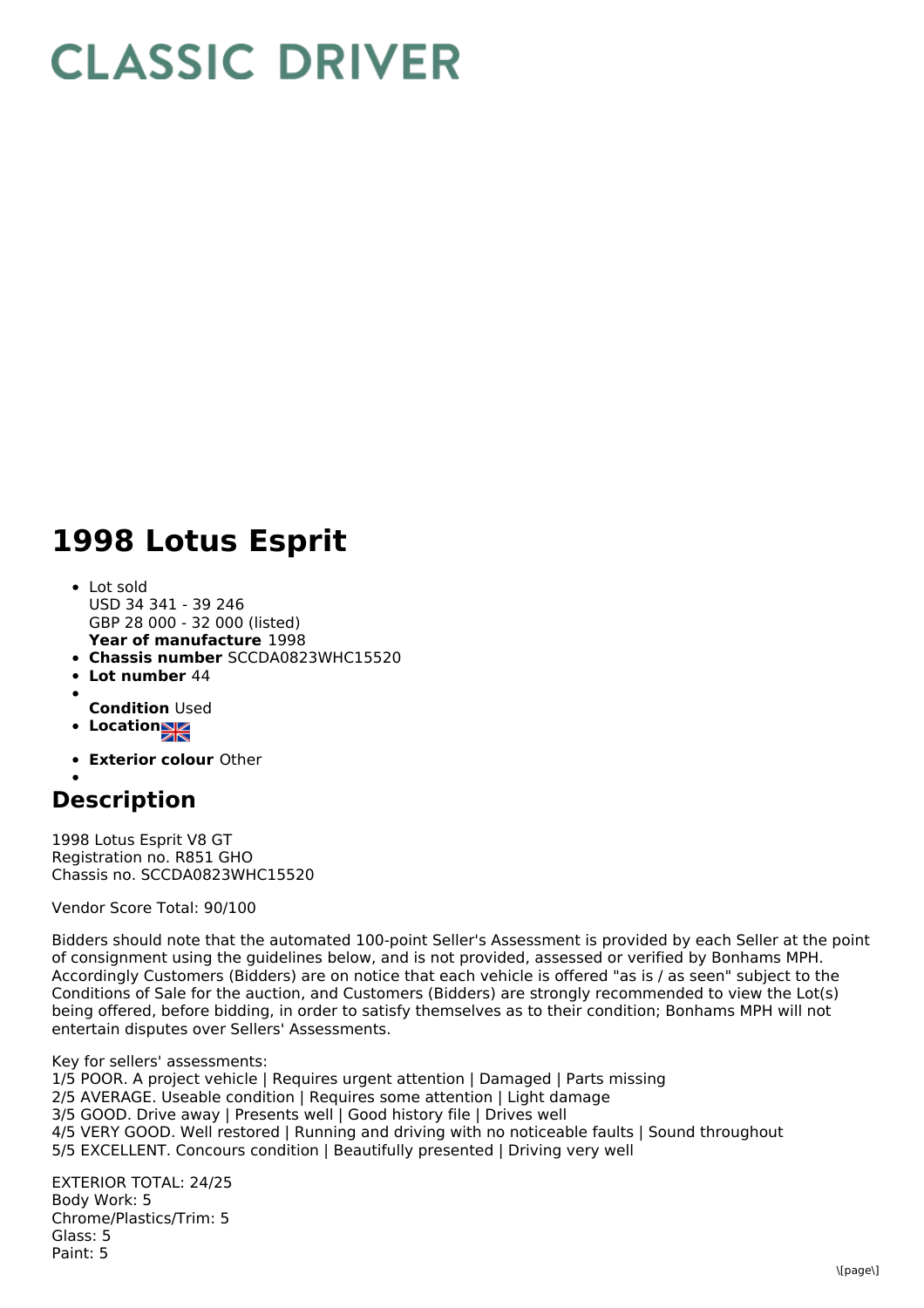## **CLASSIC DRIVER**

## **1998 Lotus Esprit**

- **Year of manufacture** 1998 Lot sold USD 34 341 - 39 246 GBP 28 000 - 32 000 (listed)
- **Chassis number** SCCDA0823WHC15520
- **Lot number** 44
- **Condition** Used
- **•** Location
- **Exterior colour** Other
- 

## **Description**

1998 Lotus Esprit V8 GT Registration no. R851 GHO Chassis no. SCCDA0823WHC15520

Vendor Score Total: 90/100

Bidders should note that the automated 100-point Seller's Assessment is provided by each Seller at the point of consignment using the guidelines below, and is not provided, assessed or verified by Bonhams MPH. Accordingly Customers (Bidders) are on notice that each vehicle is offered "as is / as seen" subject to the Conditions of Sale for the auction, and Customers (Bidders) are strongly recommended to view the Lot(s) being offered, before bidding, in order to satisfy themselves as to their condition; Bonhams MPH will not entertain disputes over Sellers' Assessments.

Key for sellers' assessments: 1/5 POOR. A project vehicle | Requires urgent attention | Damaged | Parts missing 2/5 AVERAGE. Useable condition | Requires some attention | Light damage 3/5 GOOD. Drive away | Presents well | Good history file | Drives well 4/5 VERY GOOD. Well restored | Running and driving with no noticeable faults | Sound throughout 5/5 EXCELLENT. Concours condition | Beautifully presented | Driving very well

EXTERIOR TOTAL: 24/25 Body Work: 5 Chrome/Plastics/Trim: 5 Glass: 5 Paint: 5